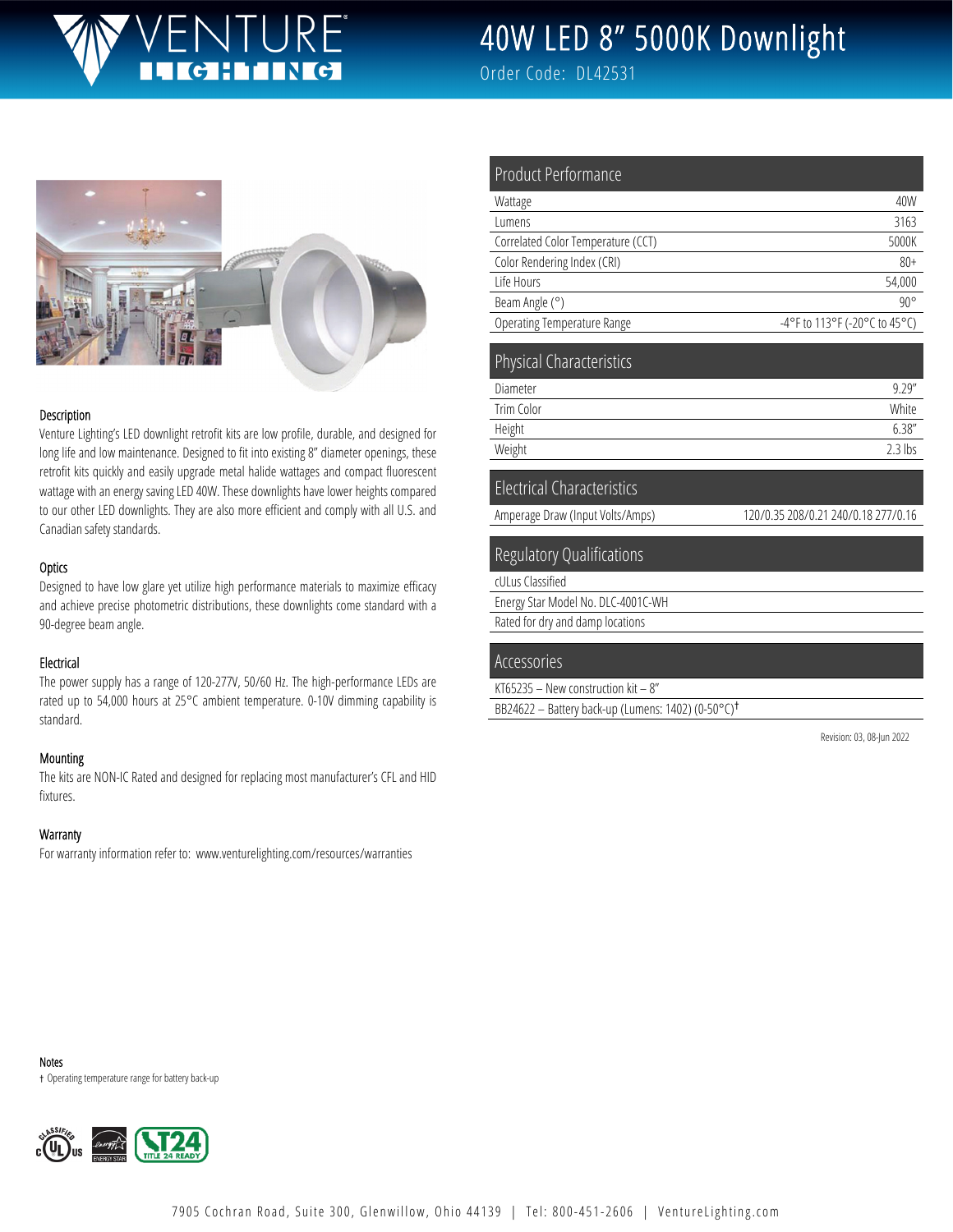## TURF **CHING**

# 40W LED 8" 5000K Downlight

Order Code: DL42531



### Description

Venture Lighting's LED downlight retrofit kits are low profile, durable, and designed for long life and low maintenance. Designed to fit into existing 8" diameter openings, these retrofit kits quickly and easily upgrade metal halide wattages and compact fluorescent wattage with an energy saving LED 40W. These downlights have lower heights compared to our other LED downlights. They are also more efficient and comply with all U.S. and Canadian safety standards.

### **Optics**

Designed to have low glare yet utilize high performance materials to maximize efficacy and achieve precise photometric distributions, these downlights come standard with a 90-degree beam angle.

## Electrical

The power supply has a range of 120-277V, 50/60 Hz. The high-performance LEDs are rated up to 54,000 hours at 25°C ambient temperature. 0-10V dimming capability is standard.

#### Mounting

The kits are NON-IC Rated and designed for replacing most manufacturer's CFL and HID fixtures.

## **Warranty**

For warranty information refer to: www.venturelighting.com/resources/warranties

| Product Performance                |                               |
|------------------------------------|-------------------------------|
| Wattage                            | 40W                           |
| Lumens                             | 3163                          |
| Correlated Color Temperature (CCT) | 5000K                         |
| Color Rendering Index (CRI)        | $80+$                         |
| Life Hours                         | 54,000                        |
| Beam Angle (°)                     | $90^{\circ}$                  |
| <b>Operating Temperature Range</b> | -4°F to 113°F (-20°C to 45°C) |
| <b>Physical Characteristics</b>    |                               |
| Diameter                           | 9.29''                        |
| Trim Color                         | White                         |
| Height                             | 6.38''                        |
| Weight                             | $2.3$ lbs                     |
| <b>Electrical Characteristics</b>  |                               |

Amperage Draw (Input Volts/Amps) 120/0.35 208/0.21 240/0.18 277/0.16

## Regulatory Qualifications

cULus Classified

Energy Star Model No. DLC-4001C-WH

Rated for dry and damp locations

## Accessories

KT65235 – New construction kit – 8"

BB24622 – Battery back-up (Lumens: 1402) (0-50°C)†

Revision: 03, 08-Jun 2022

Notes

† Operating temperature range for battery back-up